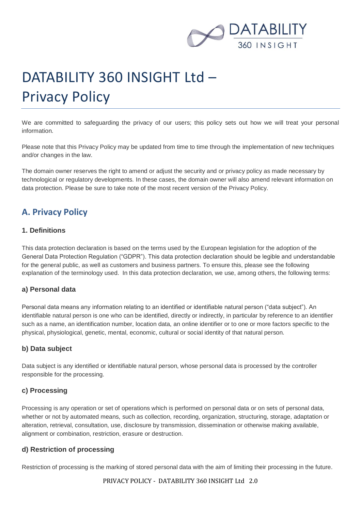

# DATABILITY 360 INSIGHT Ltd – Privacy Policy

We are committed to safeguarding the privacy of our users; this policy sets out how we will treat your personal information.

Please note that this Privacy Policy may be updated from time to time through the implementation of new techniques and/or changes in the law.

The domain owner reserves the right to amend or adjust the security and or privacy policy as made necessary by technological or regulatory developments. In these cases, the domain owner will also amend relevant information on data protection. Please be sure to take note of the most recent version of the Privacy Policy.

# **A. Privacy Policy**

#### **1. Definitions**

This data protection declaration is based on the terms used by the European legislation for the adoption of the General Data Protection Regulation ("GDPR"). This data protection declaration should be legible and understandable for the general public, as well as customers and business partners. To ensure this, please see the following explanation of the terminology used. In this data protection declaration, we use, among others, the following terms:

#### **a) Personal data**

Personal data means any information relating to an identified or identifiable natural person ("data subject"). An identifiable natural person is one who can be identified, directly or indirectly, in particular by reference to an identifier such as a name, an identification number, location data, an online identifier or to one or more factors specific to the physical, physiological, genetic, mental, economic, cultural or social identity of that natural person.

#### **b) Data subject**

Data subject is any identified or identifiable natural person, whose personal data is processed by the controller responsible for the processing.

#### **c) Processing**

Processing is any operation or set of operations which is performed on personal data or on sets of personal data, whether or not by automated means, such as collection, recording, organization, structuring, storage, adaptation or alteration, retrieval, consultation, use, disclosure by transmission, dissemination or otherwise making available, alignment or combination, restriction, erasure or destruction.

#### **d) Restriction of processing**

Restriction of processing is the marking of stored personal data with the aim of limiting their processing in the future.

PRIVACY POLICY - DATABILITY 360 INSIGHT Ltd 2.0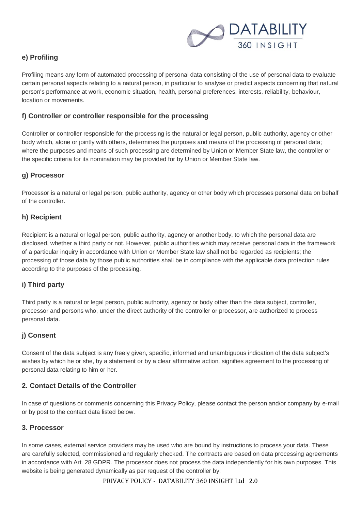

# **e) Profiling**

Profiling means any form of automated processing of personal data consisting of the use of personal data to evaluate certain personal aspects relating to a natural person, in particular to analyse or predict aspects concerning that natural person's performance at work, economic situation, health, personal preferences, interests, reliability, behaviour, location or movements.

## **f) Controller or controller responsible for the processing**

Controller or controller responsible for the processing is the natural or legal person, public authority, agency or other body which, alone or jointly with others, determines the purposes and means of the processing of personal data; where the purposes and means of such processing are determined by Union or Member State law, the controller or the specific criteria for its nomination may be provided for by Union or Member State law.

## **g) Processor**

Processor is a natural or legal person, public authority, agency or other body which processes personal data on behalf of the controller.

## **h) Recipient**

Recipient is a natural or legal person, public authority, agency or another body, to which the personal data are disclosed, whether a third party or not. However, public authorities which may receive personal data in the framework of a particular inquiry in accordance with Union or Member State law shall not be regarded as recipients; the processing of those data by those public authorities shall be in compliance with the applicable data protection rules according to the purposes of the processing.

#### **i) Third party**

Third party is a natural or legal person, public authority, agency or body other than the data subject, controller, processor and persons who, under the direct authority of the controller or processor, are authorized to process personal data.

# **j) Consent**

Consent of the data subject is any freely given, specific, informed and unambiguous indication of the data subject's wishes by which he or she, by a statement or by a clear affirmative action, signifies agreement to the processing of personal data relating to him or her.

# **2. Contact Details of the Controller**

In case of questions or comments concerning this Privacy Policy, please contact the person and/or company by e-mail or by post to the contact data listed below.

#### **3. Processor**

In some cases, external service providers may be used who are bound by instructions to process your data. These are carefully selected, commissioned and regularly checked. The contracts are based on data processing agreements in accordance with Art. 28 GDPR. The processor does not process the data independently for his own purposes. This website is being generated dynamically as per request of the controller by: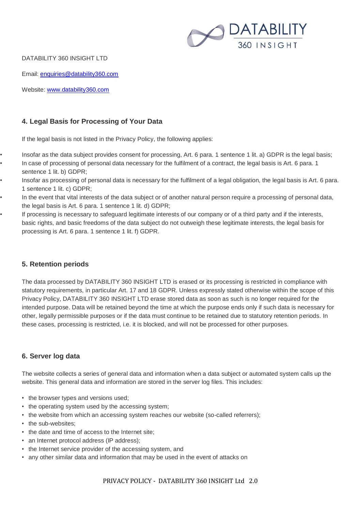

DATABILITY 360 INSIGHT LTD

Email: [enquiries@datability360.com](mailto:enquiries@datability360.com)

Website: [www.datability360.com](http://www.datability360.com/)

# **4. Legal Basis for Processing of Your Data**

If the legal basis is not listed in the Privacy Policy, the following applies:

- Insofar as the data subject provides consent for processing, Art. 6 para. 1 sentence 1 lit. a) GDPR is the legal basis;
	- In case of processing of personal data necessary for the fulfilment of a contract, the legal basis is Art. 6 para. 1 sentence 1 lit. b) GDPR;
- Insofar as processing of personal data is necessary for the fulfilment of a legal obligation, the legal basis is Art. 6 para. 1 sentence 1 lit. c) GDPR;
- In the event that vital interests of the data subject or of another natural person require a processing of personal data, the legal basis is Art. 6 para. 1 sentence 1 lit. d) GDPR;
- If processing is necessary to safeguard legitimate interests of our company or of a third party and if the interests, basic rights, and basic freedoms of the data subject do not outweigh these legitimate interests, the legal basis for processing is Art. 6 para. 1 sentence 1 lit. f) GDPR.

# **5. Retention periods**

The data processed by DATABILITY 360 INSIGHT LTD is erased or its processing is restricted in compliance with statutory requirements, in particular Art. 17 and 18 GDPR. Unless expressly stated otherwise within the scope of this Privacy Policy, DATABILITY 360 INSIGHT LTD erase stored data as soon as such is no longer required for the intended purpose. Data will be retained beyond the time at which the purpose ends only if such data is necessary for other, legally permissible purposes or if the data must continue to be retained due to statutory retention periods. In these cases, processing is restricted, i.e. it is blocked, and will not be processed for other purposes.

# **6. Server log data**

The website collects a series of general data and information when a data subject or automated system calls up the website. This general data and information are stored in the server log files. This includes:

- the browser types and versions used;
- the operating system used by the accessing system;
- the website from which an accessing system reaches our website (so-called referrers);
- the sub-websites:
- the date and time of access to the Internet site;
- an Internet protocol address (IP address);
- the Internet service provider of the accessing system, and
- any other similar data and information that may be used in the event of attacks on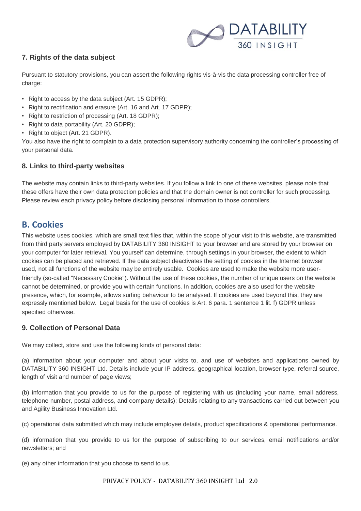

# **7. Rights of the data subject**

Pursuant to statutory provisions, you can assert the following rights vis-à-vis the data processing controller free of charge:

- Right to access by the data subject (Art. 15 GDPR);
- Right to rectification and erasure (Art. 16 and Art. 17 GDPR);
- Right to restriction of processing (Art. 18 GDPR);
- Right to data portability (Art. 20 GDPR);
- Right to object (Art. 21 GDPR).

You also have the right to complain to a data protection supervisory authority concerning the controller's processing of your personal data.

#### **8. Links to third-party websites**

The website may contain links to third-party websites. If you follow a link to one of these websites, please note that these offers have their own data protection policies and that the domain owner is not controller for such processing. Please review each privacy policy before disclosing personal information to those controllers.

# **B. Cookies**

This website uses cookies, which are small text files that, within the scope of your visit to this website, are transmitted from third party servers employed by DATABILITY 360 INSIGHT to your browser and are stored by your browser on your computer for later retrieval. You yourself can determine, through settings in your browser, the extent to which cookies can be placed and retrieved. If the data subject deactivates the setting of cookies in the Internet browser used, not all functions of the website may be entirely usable. Cookies are used to make the website more userfriendly (so-called "Necessary Cookie"). Without the use of these cookies, the number of unique users on the website cannot be determined, or provide you with certain functions. In addition, cookies are also used for the website presence, which, for example, allows surfing behaviour to be analysed. If cookies are used beyond this, they are expressly mentioned below. Legal basis for the use of cookies is Art. 6 para. 1 sentence 1 lit. f) GDPR unless specified otherwise.

# **9. Collection of Personal Data**

We may collect, store and use the following kinds of personal data:

(a) information about your computer and about your visits to, and use of websites and applications owned by DATABILITY 360 INSIGHT Ltd. Details include your IP address, geographical location, browser type, referral source, length of visit and number of page views;

(b) information that you provide to us for the purpose of registering with us (including your name, email address, telephone number, postal address, and company details); Details relating to any transactions carried out between you and Agility Business Innovation Ltd.

(c) operational data submitted which may include employee details, product specifications & operational performance.

(d) information that you provide to us for the purpose of subscribing to our services, email notifications and/or newsletters; and

(e) any other information that you choose to send to us.